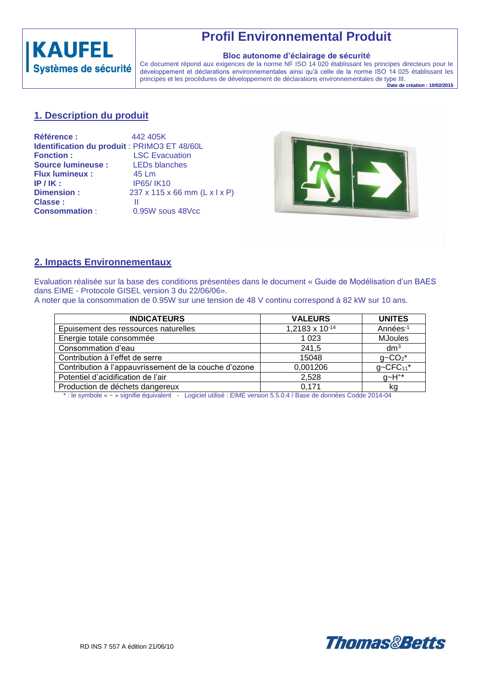

# **Profil Environnemental Produit**

#### **Bloc autonome d'éclairage de sécurité**

Ce document répond aux exigences de la norme NF ISO 14 020 établissant les principes directeurs pour le développement et déclarations environnementales ainsi qu'à celle de la norme ISO 14 025 établissant les principes et les procédures de développement de déclarations environnementales de type III.

**Date de création : 10/02/2015**

## **1. Description du produit**

| <b>Référence:</b>         | 442 405K                                     |
|---------------------------|----------------------------------------------|
|                           | Identification du produit : PRIMO3 ET 48/60L |
| <b>Fonction:</b>          | <b>LSC Evacuation</b>                        |
| <b>Source lumineuse :</b> | <b>LEDs blanches</b>                         |
| <b>Flux lumineux:</b>     | 45 Lm                                        |
| $IP/IK$ :                 | IP65/IK10                                    |
| <b>Dimension:</b>         | 237 x 115 x 66 mm (L x l x P)                |
| Classe:                   | Ш                                            |
| <b>Consommation:</b>      | 0.95W sous 48Vcc                             |



### **2. Impacts Environnementaux**

Evaluation réalisée sur la base des conditions présentées dans le document « Guide de Modélisation d'un BAES dans EIME - Protocole GISEL version 3 du 22/06/06».

A noter que la consommation de 0.95W sur une tension de 48 V continu correspond à 82 kW sur 10 ans.

| <b>INDICATEURS</b>                                    | <b>VALEURS</b> | <b>UNITES</b>            |
|-------------------------------------------------------|----------------|--------------------------|
| Epuisement des ressources naturelles                  | 1,2183 x 10-14 | Années-1                 |
| Energie totale consommée                              | 1 0 2 3        | <b>MJoules</b>           |
| Consommation d'eau                                    | 241,5          | dm <sup>3</sup>          |
| Contribution à l'effet de serre                       | 15048          | $g - CO_2$ *             |
| Contribution à l'appauvrissement de la couche d'ozone | 0,001206       | $g$ ~CFC <sub>11</sub> * |
| Potentiel d'acidification de l'air                    | 2,528          | $g$ ~H <sup>+*</sup>     |
| Production de déchets dangereux                       | 0.171          | kq                       |

\* : le symbole « ~ » signifie équivalent - Logiciel utilisé : EIME version 5.5.0.4 / Base de données Codde 2014-04